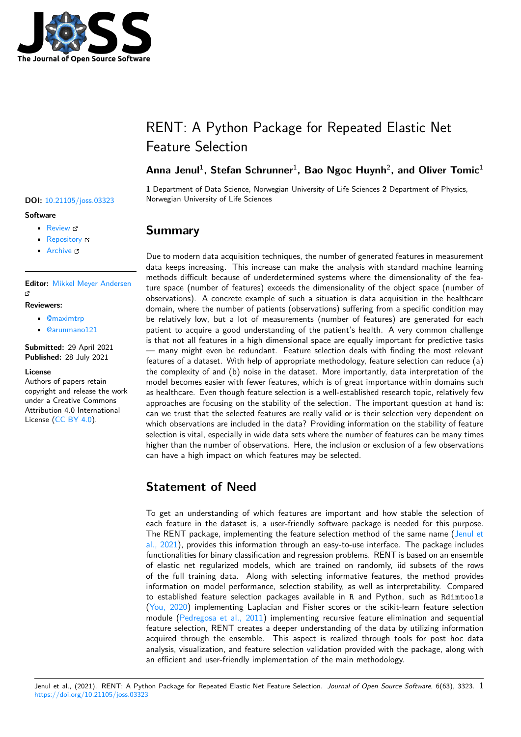

# RENT: A Python Package for Repeated Elastic Net Feature Selection

## Anna Jenul<sup>1</sup>, Stefan Schrunner<sup>1</sup>, Bao Ngoc Huynh<sup>2</sup>, and Oliver Tomic<sup>1</sup>

**1** Department of Data Science, Norwegian University of Life Sciences **2** Department of Physics, **DOI:** 10.21105/joss.03323 Norwegian University of Life Sciences

## **Summary**

Due to modern data acquisition techniques, the number of generated features in measurement data keeps increasing. This increase can make the analysis with standard machine learning methods difficult because of underdetermined systems where the dimensionality of the feature space (number of features) exceeds the dimensionality of the object space (number of observations). A concrete example of such a situation is data acquisition in the healthcare domain, where the number of patients (observations) suffering from a specific condition may be relatively low, but a lot of measurements (number of features) are generated for each patient to acquire a good understanding of the patient's health. A very common challenge is that not all features in a high dimensional space are equally important for predictive tasks — many might even be redundant. Feature selection deals with finding the most relevant features of a dataset. With help of appropriate methodology, feature selection can reduce (a) the complexity of and (b) noise in the dataset. More importantly, data interpretation of the model becomes easier with fewer features, which is of great importance within domains such as healthcare. Even though feature selection is a well-established research topic, relatively few approaches are focusing on the stability of the selection. The important question at hand is: can we trust that the selected features are really valid or is their selection very dependent on which observations are included in the data? Providing information on the stability of feature selection is vital, especially in wide data sets where the number of features can be many times higher than the number of observations. Here, the inclusion or exclusion of a few observations can have a high impact on which features may be selected.

## **Statement of Need**

To get an understanding of which features are important and how stable the selection of each feature in the dataset is, a user-friendly software package is needed for this purpose. The RENT package, implementing the feature selection method of the same name (Jenul et al., 2021), provides this information through an easy-to-use interface. The package includes functionalities for binary classification and regression problems. RENT is based on an ensemble of elastic net regularized models, which are trained on randomly, iid subsets of the rows of the full training data. Along with selecting informative features, the method [provides](#page-2-0) [informati](#page-2-0)on on model performance, selection stability, as well as interpretability. Compared to established feature selection packages available in R and Python, such as Rdimtools (You, 2020) implementing Laplacian and Fisher scores or the scikit-learn feature selection module (Pedregosa et al., 2011) implementing recursive feature elimination and sequential feature selection, RENT creates a deeper understanding of the data by utilizing information acquired through the ensemble. This aspect is realized through tools for post hoc data [analysis, vis](#page-2-1)ualization, and feature selection validation provided with the package, along with an efficie[nt and user-friendly imp](#page-2-2)lementation of the main methodology.

### **Software**

- Review &
- [Repository](https://doi.org/10.21105/joss.03323) &
- Archive

**Editor:** [Mikkel M](https://github.com/NMBU-Data-Science/RENT)eyer Andersen гą

#### **Reviewers:**

- @maximtrp
- @[arunmano121](https://twitter.com/mikldk)

**Submitted:** 29 April 2021 **Published:** [28 Jul](https://github.com/maximtrp)y 2021

#### **Licen[se](https://github.com/arunmano121)**

Authors of papers retain copyright and release the work under a Creative Commons Attribution 4.0 International License (CC BY 4.0).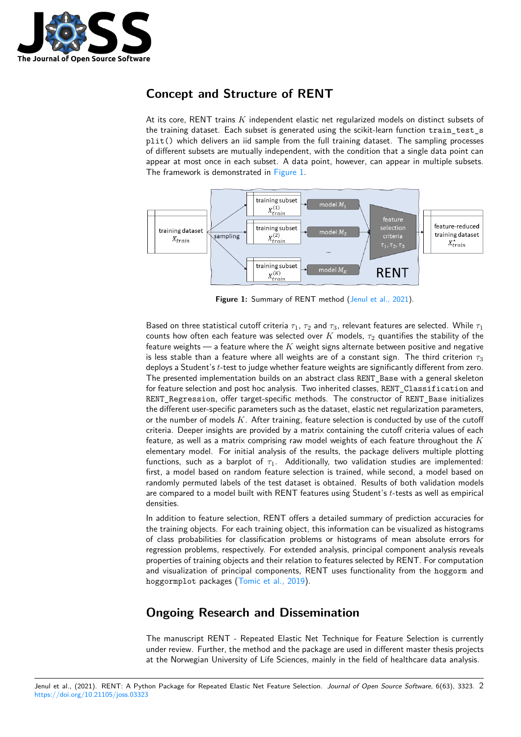

## **Concept and Structure of RENT**

At its core, RENT trains *K* independent elastic net regularized models on distinct subsets of the training dataset. Each subset is generated using the scikit-learn function train\_test\_s plit() which delivers an iid sample from the full training dataset. The sampling processes of different subsets are mutually independent, with the condition that a single data point can appear at most once in each subset. A data point, however, can appear in multiple subsets. The framework is demonstrated in Figure 1.



Figure 1: Summary of RENT method (Jenul et al., 2021).

Based on three statistical cutoff criteria  $\tau_1$ ,  $\tau_2$  and  $\tau_3$ , relevant features are selected. While  $\tau_1$ counts how often each feature was selected over  $K$  models,  $\tau_2$  quantifies the stability of the feature weights — a feature where the *K* weight signs al[ternate between p](#page-2-0)ositive and negative is less stable than a feature where all weights are of a constant sign. The third criterion  $\tau_3$ deploys a Student's *t*-test to judge whether feature weights are significantly different from zero. The presented implementation builds on an abstract class RENT\_Base with a general skeleton for feature selection and post hoc analysis. Two inherited classes, RENT\_Classification and RENT\_Regression, offer target-specific methods. The constructor of RENT\_Base initializes the different user-specific parameters such as the dataset, elastic net regularization parameters, or the number of models *K*. After training, feature selection is conducted by use of the cutoff criteria. Deeper insights are provided by a matrix containing the cutoff criteria values of each feature, as well as a matrix comprising raw model weights of each feature throughout the *K* elementary model. For initial analysis of the results, the package delivers multiple plotting functions, such as a barplot of  $\tau_1$ . Additionally, two validation studies are implemented: first, a model based on random feature selection is trained, while second, a model based on randomly permuted labels of the test dataset is obtained. Results of both validation models are compared to a model built with RENT features using Student's *t*-tests as well as empirical densities.

In addition to feature selection, RENT offers a detailed summary of prediction accuracies for the training objects. For each training object, this information can be visualized as histograms of class probabilities for classification problems or histograms of mean absolute errors for regression problems, respectively. For extended analysis, principal component analysis reveals properties of training objects and their relation to features selected by RENT. For computation and visualization of principal components, RENT uses functionality from the hoggorm and hoggormplot packages (Tomic et al., 2019).

## **Ongoing Resear[ch and Disse](#page-2-3)mination**

The manuscript RENT - Repeated Elastic Net Technique for Feature Selection is currently under review. Further, the method and the package are used in different master thesis projects at the Norwegian University of Life Sciences, mainly in the field of healthcare data analysis.